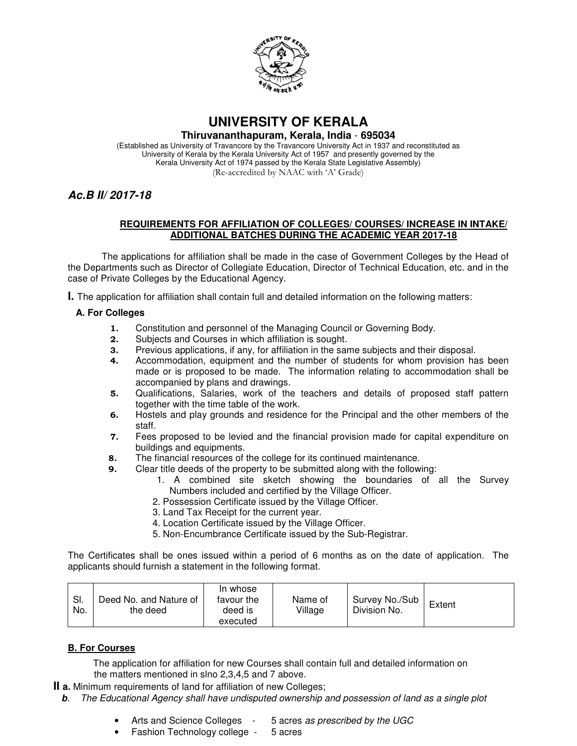

# **UNIVERSITY OF KERALA**

#### **Thiruvananthapuram, Kerala, India** - **695034**

(Established as University of Travancore by the Travancore University Act in 1937 and reconstituted as University of Kerala by the Kerala University Act of 1957 and presently governed by the Kerala University Act of 1974 passed by the Kerala State Legislative Assembly) (Re-accredited by NAAC with 'A' Grade)

## **Ac.B II/ 2017-18**

#### **REQUIREMENTS FOR AFFILIATION OF COLLEGES/ COURSES/ INCREASE IN INTAKE/ ADDITIONAL BATCHES DURING THE ACADEMIC YEAR 2017-18**

The applications for affiliation shall be made in the case of Government Colleges by the Head of the Departments such as Director of Collegiate Education, Director of Technical Education, etc. and in the case of Private Colleges by the Educational Agency.

**I.** The application for affiliation shall contain full and detailed information on the following matters:

#### **A. For Colleges**

- 1. Constitution and personnel of the Managing Council or Governing Body.
- 2. Subjects and Courses in which affiliation is sought.
- 3. Previous applications, if any, for affiliation in the same subjects and their disposal.
- 4. Accommodation, equipment and the number of students for whom provision has been made or is proposed to be made. The information relating to accommodation shall be accompanied by plans and drawings.
- 5. Qualifications, Salaries, work of the teachers and details of proposed staff pattern together with the time table of the work.
- 6. Hostels and play grounds and residence for the Principal and the other members of the staff.
- 7. Fees proposed to be levied and the financial provision made for capital expenditure on buildings and equipments.
- 8. The financial resources of the college for its continued maintenance.
- 9. Clear title deeds of the property to be submitted along with the following:
	- 1. A combined site sketch showing the boundaries of all the Survey Numbers included and certified by the Village Officer.
	- 2. Possession Certificate issued by the Village Officer.
	- 3. Land Tax Receipt for the current year.
	- 4. Location Certificate issued by the Village Officer.
	- 5. Non-Encumbrance Certificate issued by the Sub-Registrar.

The Certificates shall be ones issued within a period of 6 months as on the date of application. The applicants should furnish a statement in the following format.

| SI.<br>No. | Deed No. and Nature of<br>the deed | In whose<br>favour the<br>deed is<br>executed | Name of<br>Village | Survey No./Sub<br>Division No. | Extent |
|------------|------------------------------------|-----------------------------------------------|--------------------|--------------------------------|--------|
|------------|------------------------------------|-----------------------------------------------|--------------------|--------------------------------|--------|

#### **B. For Courses**

The application for affiliation for new Courses shall contain full and detailed information on the matters mentioned in slno 2,3,4,5 and 7 above.

**II a.** Minimum requirements of land for affiliation of new Colleges;

- **b**. The Educational Agency shall have undisputed ownership and possession of land as a single plot
	- Arts and Science Colleges 5 acres as prescribed by the UGC
	- Fashion Technology college 5 acres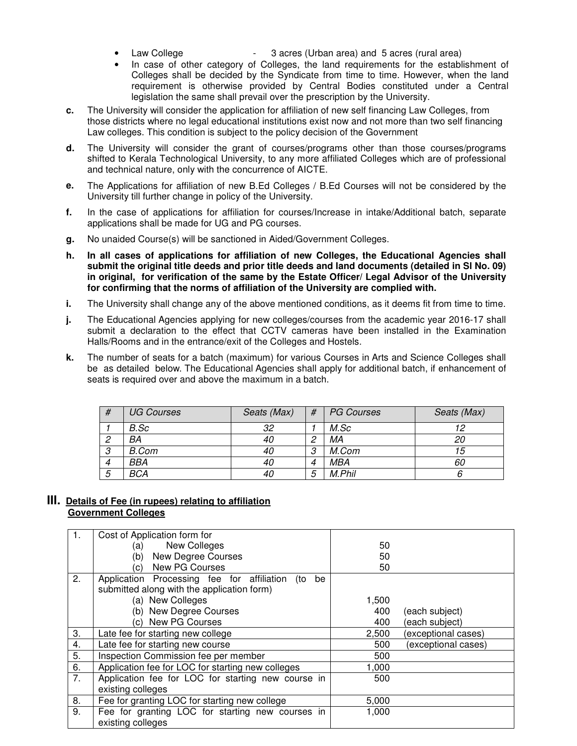- Law College  **3 acres (Urban area)** and 5 acres (rural area)
- In case of other category of Colleges, the land requirements for the establishment of Colleges shall be decided by the Syndicate from time to time. However, when the land requirement is otherwise provided by Central Bodies constituted under a Central legislation the same shall prevail over the prescription by the University.
- **c.** The University will consider the application for affiliation of new self financing Law Colleges, from those districts where no legal educational institutions exist now and not more than two self financing Law colleges. This condition is subject to the policy decision of the Government
- **d.** The University will consider the grant of courses/programs other than those courses/programs shifted to Kerala Technological University, to any more affiliated Colleges which are of professional and technical nature, only with the concurrence of AICTE.
- **e.** The Applications for affiliation of new B.Ed Colleges / B.Ed Courses will not be considered by the University till further change in policy of the University.
- **f.** In the case of applications for affiliation for courses/Increase in intake/Additional batch, separate applications shall be made for UG and PG courses.
- **g.** No unaided Course(s) will be sanctioned in Aided/Government Colleges.
- **h. In all cases of applications for affiliation of new Colleges, the Educational Agencies shall submit the original title deeds and prior title deeds and land documents (detailed in Sl No. 09) in original, for verification of the same by the Estate Officer/ Legal Advisor of the University for confirming that the norms of affiliation of the University are complied with.**
- **i.** The University shall change any of the above mentioned conditions, as it deems fit from time to time.
- **j.** The Educational Agencies applying for new colleges/courses from the academic year 2016-17 shall submit a declaration to the effect that CCTV cameras have been installed in the Examination Halls/Rooms and in the entrance/exit of the Colleges and Hostels.
- **k.** The number of seats for a batch (maximum) for various Courses in Arts and Science Colleges shall be as detailed below. The Educational Agencies shall apply for additional batch, if enhancement of seats is required over and above the maximum in a batch.

| # | <b>UG Courses</b> | Seats (Max) | #              | <b>PG Courses</b> | Seats (Max) |
|---|-------------------|-------------|----------------|-------------------|-------------|
|   | B.Sc              | 32          |                | M.Sc              |             |
| ⌒ | BA                | 40          | ◠              | МA                | 20          |
| 3 | B.Com             | 40          | 3              | M.Com             | 15          |
| 4 | BBA               | 40          | $\overline{4}$ | MBA               | 60          |
| 5 | BCA               |             | 5              | M.Phil            |             |

#### **III. Details of Fee (in rupees) relating to affiliation Government Colleges**

| $\mathbf{1}$ . | Cost of Application form for                            |       |                     |
|----------------|---------------------------------------------------------|-------|---------------------|
|                | New Colleges<br>(a)                                     | 50    |                     |
|                | New Degree Courses<br>(b)                               | 50    |                     |
|                | <b>New PG Courses</b><br>c)                             | 50    |                     |
| 2.             | Application Processing fee for affiliation<br>be<br>(to |       |                     |
|                | submitted along with the application form)              |       |                     |
|                | (a) New Colleges                                        | 1,500 |                     |
|                | (b) New Degree Courses                                  | 400   | (each subject)      |
|                | New PG Courses<br>$\mathcal{C}$                         | 400   | (each subject)      |
| 3.             | Late fee for starting new college                       | 2,500 | (exceptional cases) |
| 4.             | Late fee for starting new course                        | 500   | (exceptional cases) |
| 5.             | Inspection Commission fee per member                    | 500   |                     |
| 6.             | Application fee for LOC for starting new colleges       | 1,000 |                     |
| 7.             | Application fee for LOC for starting new course in      | 500   |                     |
|                | existing colleges                                       |       |                     |
| 8.             | Fee for granting LOC for starting new college           | 5,000 |                     |
| 9.             | Fee for granting LOC for starting new courses in        | 1,000 |                     |
|                | existing colleges                                       |       |                     |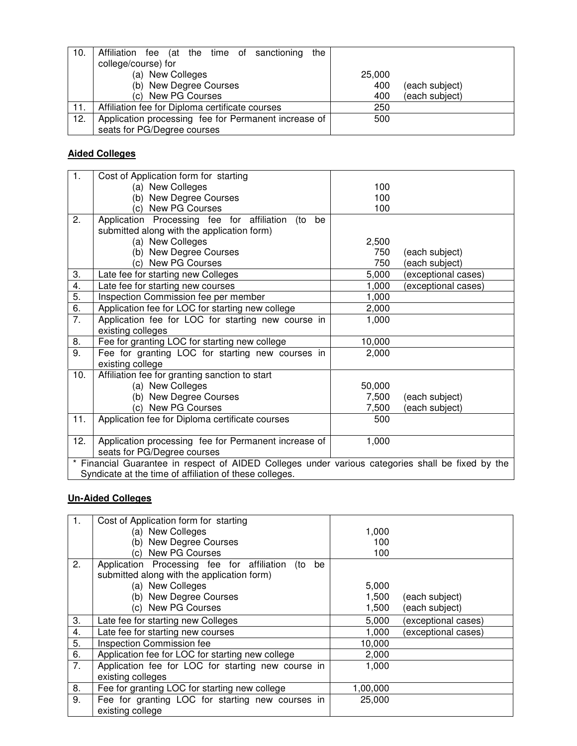| 10. | the<br>Affiliation fee (at the time of sanctioning   |                       |
|-----|------------------------------------------------------|-----------------------|
|     | college/course) for                                  |                       |
|     | (a) New Colleges                                     | 25,000                |
|     | (b) New Degree Courses                               | 400<br>(each subject) |
|     | (c) New PG Courses                                   | (each subject)<br>400 |
| 11. | Affiliation fee for Diploma certificate courses      | 250                   |
| 12. | Application processing fee for Permanent increase of | 500                   |
|     | seats for PG/Degree courses                          |                       |

## **Aided Colleges**

| 1.                                                                                                | Cost of Application form for starting                   |        |                     |
|---------------------------------------------------------------------------------------------------|---------------------------------------------------------|--------|---------------------|
|                                                                                                   | (a) New Colleges                                        | 100    |                     |
|                                                                                                   | New Degree Courses<br>(b)                               | 100    |                     |
|                                                                                                   | <b>New PG Courses</b><br>(c)                            | 100    |                     |
| 2.                                                                                                | Application Processing fee for affiliation<br>(to<br>be |        |                     |
|                                                                                                   | submitted along with the application form)              |        |                     |
|                                                                                                   | (a) New Colleges                                        | 2,500  |                     |
|                                                                                                   | New Degree Courses<br>(b)                               | 750    | (each subject)      |
|                                                                                                   | New PG Courses<br>(c)                                   | 750    | (each subject)      |
| 3.                                                                                                | Late fee for starting new Colleges                      | 5,000  | (exceptional cases) |
| 4.                                                                                                | Late fee for starting new courses                       | 1,000  | (exceptional cases) |
| 5.                                                                                                | Inspection Commission fee per member                    | 1,000  |                     |
| 6.                                                                                                | Application fee for LOC for starting new college        | 2,000  |                     |
| $\overline{7}$ .                                                                                  | Application fee for LOC for starting new course in      | 1,000  |                     |
|                                                                                                   | existing colleges                                       |        |                     |
| 8.                                                                                                | Fee for granting LOC for starting new college           | 10,000 |                     |
| 9.                                                                                                | Fee for granting LOC for starting new courses in        | 2,000  |                     |
|                                                                                                   | existing college                                        |        |                     |
| 10.                                                                                               | Affiliation fee for granting sanction to start          |        |                     |
|                                                                                                   | (a) New Colleges                                        | 50,000 |                     |
|                                                                                                   | (b) New Degree Courses                                  | 7,500  | (each subject)      |
|                                                                                                   | New PG Courses<br>(c)                                   | 7,500  | (each subject)      |
| 11.                                                                                               | Application fee for Diploma certificate courses         | 500    |                     |
|                                                                                                   |                                                         |        |                     |
| 12.                                                                                               | Application processing fee for Permanent increase of    | 1,000  |                     |
|                                                                                                   | seats for PG/Degree courses                             |        |                     |
| * Financial Guarantee in respect of AIDED Colleges under various categories shall be fixed by the |                                                         |        |                     |
|                                                                                                   | Syndicate at the time of affiliation of these colleges. |        |                     |

## **Un-Aided Colleges**

| $\mathbf{1}$ . | Cost of Application form for starting                   |          |                     |
|----------------|---------------------------------------------------------|----------|---------------------|
|                | (a) New Colleges                                        | 1,000    |                     |
|                | New Degree Courses<br>(b)                               | 100      |                     |
|                | <b>New PG Courses</b><br>$\mathcal{C}$                  | 100      |                     |
| 2.             | Application Processing fee for affiliation<br>(to<br>be |          |                     |
|                | submitted along with the application form)              |          |                     |
|                | (a) New Colleges                                        | 5,000    |                     |
|                | (b) New Degree Courses                                  | 1,500    | (each subject)      |
|                | (c) New PG Courses                                      | 1,500    | (each subject)      |
| 3.             | Late fee for starting new Colleges                      | 5,000    | (exceptional cases) |
| 4.             | Late fee for starting new courses                       | 1,000    | (exceptional cases) |
| 5.             | Inspection Commission fee                               | 10,000   |                     |
| 6.             | Application fee for LOC for starting new college        | 2,000    |                     |
| 7.             | Application fee for LOC for starting new course in      | 1,000    |                     |
|                | existing colleges                                       |          |                     |
| 8.             | Fee for granting LOC for starting new college           | 1,00,000 |                     |
| 9.             | Fee for granting LOC for starting new courses in        | 25,000   |                     |
|                | existing college                                        |          |                     |